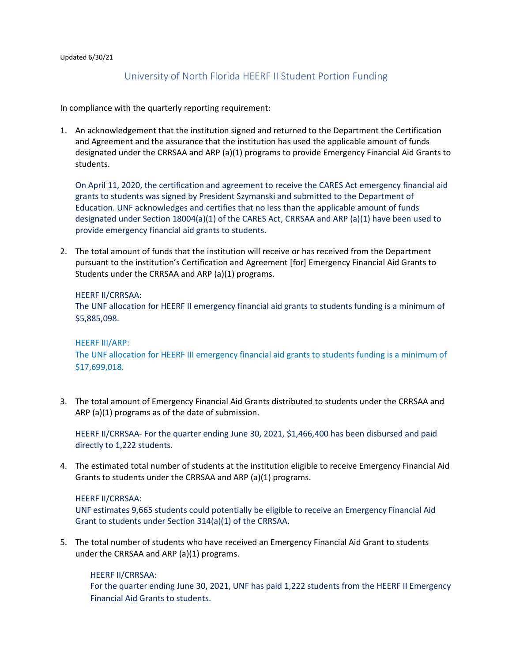#### Updated 6/30/21

# University of North Florida HEERF II Student Portion Funding

In compliance with the quarterly reporting requirement:

1. An acknowledgement that the institution signed and returned to the Department the Certification and Agreement and the assurance that the institution has used the applicable amount of funds designated under the CRRSAA and ARP (a)(1) programs to provide Emergency Financial Aid Grants to students.

 Education. UNF acknowledges and certifies that no less than the applicable amount of funds On April 11, 2020, the certification and agreement to receive the CARES Act emergency financial aid grants to students was signed by President Szymanski and submitted to the Department of designated under Section 18004(a)(1) of the CARES Act, CRRSAA and ARP (a)(1) have been used to provide emergency financial aid grants to students.

2. The total amount of funds that the institution will receive or has received from the Department pursuant to the institution's Certification and Agreement [for] Emergency Financial Aid Grants to Students under the CRRSAA and ARP (a)(1) programs.

#### HEERF II/CRRSAA:

The UNF allocation for HEERF II emergency financial aid grants to students funding is a minimum of \$5,885,098.

### HEERF III/ARP:

The UNF allocation for HEERF III emergency financial aid grants to students funding is a minimum of \$17,699,018.

3. The total amount of Emergency Financial Aid Grants distributed to students under the CRRSAA and ARP (a)(1) programs as of the date of submission.

HEERF II/CRRSAA- For the quarter ending June 30, 2021, \$1,466,400 has been disbursed and paid directly to 1,222 students.

4. The estimated total number of students at the institution eligible to receive Emergency Financial Aid Grants to students under the CRRSAA and ARP (a)(1) programs.

### HEERF II/CRRSAA:

UNF estimates 9,665 students could potentially be eligible to receive an Emergency Financial Aid Grant to students under Section 314(a)(1) of the CRRSAA.

5. The total number of students who have received an Emergency Financial Aid Grant to students under the CRRSAA and ARP (a)(1) programs.

### HEERF II/CRRSAA:

For the quarter ending June 30, 2021, UNF has paid 1,222 students from the HEERF II Emergency Financial Aid Grants to students.